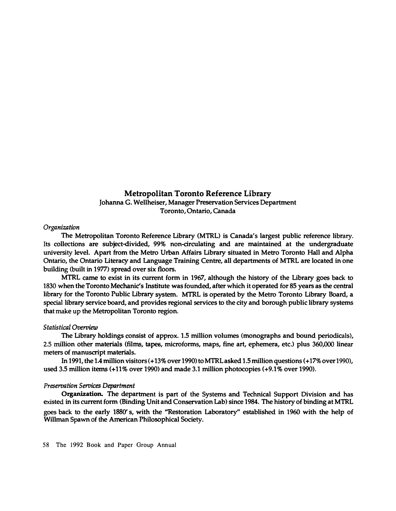# Metropolitan Toronto Reference Library

**Johanna G. Wellheiser, Manager Preservation Services Department Toronto, Ontario, Canada**

### *Organization*

**The Metropolitan Toronto Reference Library (MTRL) is Canada's largest public reference library. Its collections are subject-divided, 99% non-circulating and are maintained at the undergraduate university level. Apart from the Metro Urban Affairs Library situated in Metro Toronto Hall and Alpha Ontario, the Ontario Literacy and Language Training Centre, all departments of MTRL are located in one building (built in 1977) spread over six floors.**

**MTRL came to exist in its current form in 1967, although the history of the Library goes back to 1830 when the Toronto Mechanic's Institute was founded, afterwhich it operated for 85 years as the central library for the Toronto Public Library system. MTRL is operated by the Metro Toronto Library Board, a special library service board, and provides regional services to the city and borough public library systems thatmake up the Metropolitan Toronto region.** 

#### *Statistical Overview*

**The Library holdings consist of approx. 1.5 million volumes (monographs and bound periodicals), 2.5 million other materials (films, tapes, microforms, maps, fine art, ephemera, etc.) plus 360,000 linear meters of manuscript materials.**

**In 1991, the 1.4 million visitors ( + 13% over 1990) to MTRL asked 1.5 million questions ( + 17% over 1990), used 3.5 million items (+11% over 1990) and made 3.1 million photocopies (+9.1 % over 1990).** 

## *Preservation Services Department*

**Organization. The department is part of the Systems and Technical Support Division and has existed in itscurrent form (Binding Unit and ConservationLab) since 1984. The history of binding at MTRL**  goes **back to the early 1880' s, with the ''Restoration Laboratory'' established in 1960 with the help of Willman Spawn of the American Philosophical Society.** 

58 The 1992 Book and Paper Group Annual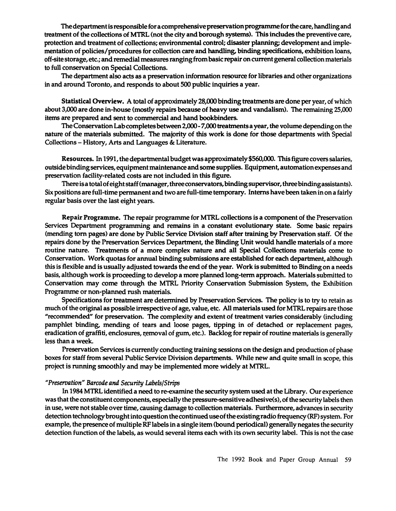The department is responsible for a comprehensive preservation programme for the care, handling and treatment of the collections of MTRL (not the dty and borough systems). This includes the preventive care, protection and treatment of collections; environmental control; disaster planning; development and implementation of policies/procedures for collection care and handling, binding specifications, exhibition loans, off-site storage, etc.; and remedial measures ranging from basic repair on current general collection materials to full conservation on Special Collections.

The department also acts as a preservation information resource for libraries and other organizations in and around Toronto, and responds to about 500 public inquiries a year.

Statistical **Overview.** A total of approximately 28,000 binding treatments are done per year, of which about 3,000 are done in-house (mostly repairs because of heavy use and vandalism). The remaining 25,000 items are prepared and sent to commercial and hand bookbinders.

The Conservation Lab completes between 2,000- 7,000 treatments a year, the volume depending on the nature of the materials submitted. The majority of this work is done for those departments with Special Collections - History, Arts and Languages & Literature.

**Resources.** In 1991, the departmental budget was approximately\$560,000. This figure covers salaries, outside binding services, equipment maintenance and some supplies. Equipment, automation expenses and preservation facility-related costs are not included in this figure.

There is a total of eight staff (manager, three conservators, binding supervisor, three binding assistants). Six positions are full-time permanent and two are full-time temporary. Interns have been taken in on a fairly regular basis over the last eight years.

**Repair Programme.** The repair programme for MTRL collections is a component of the Preservation Services Department programming and remains in a constant evolutionary state. Some basic repairs (mending tom pages) are done by Public Service Division staff after training by Preservation staff. Of the repairs done by the Preservation Services Department, the Binding Unit would handle materials of a more routine nature. Treatments of a more complex nature and all Special Collections materials come to Conservation. Work quotas for annual binding submissions are established for each department, although this is flexible and is usually adjusted towards the end of the year. Work is submitted to Binding on a needs basis, although work is proceeding to develop a more planned long-term approach. Materials submitted to Conservation may come through the MTRL Priority Conservation Submission System, the Exhibition Programme or non-planned rush materials.

Specifications for treatment are determined by Preservation Services. The policy is to try to retain as much of the original as possible irrespective of age, value, etc. All materials used for MTRL repairs are those "recommended" for preservation. The complexity and extent of treatment varies considerably (including pamphlet binding, mending of tears and loose pages, tipping in of detached or replacement pages, eradication of graffiti, enclosures, removal of gum, etc.). Backlog for repair of routine materials is generally less than a week.

Preservation Services is currently conducting training sessions on the design and production of phase boxes for staff from several Public Service Division departments. While new and quite small in scope, this project is running smoothly and may be implemented more widely at MTRL.

## *"Preservation" Barcode and Security lAbels/Strips*

In 1984 MTRL identified a need to re-examine the security system used at the Library. Our experience was that the constituent components, especially the pressure-sensitive adhesive(s), of the security labels then in use, were not stable over time, causing damage to collection materials. Furthermore, advances in security detection technology brought into question the continued useof the existing radio frequency (RF) system. For example, the presence of multiple RF labels in a single item (bound periodical) generally negates the security detection function of the labels, as would several items each with its own security label. This is not the case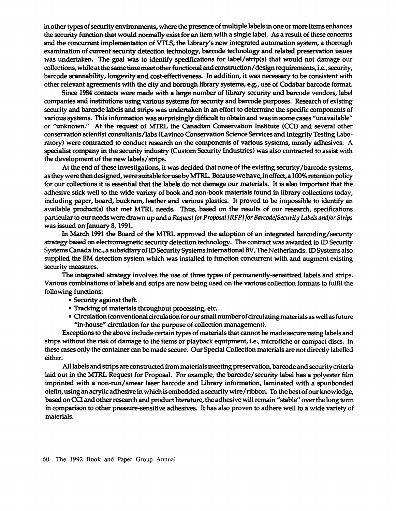in other types of security environments, where the presence of multiple labels in one or more items enhances the security function that would normally exist for an item with a single label. As a result of these concerns and the concurrent implementation of VTLS, the Library's new integrated automation system, a thorough examination of current security detection technology, barcode technology and related preservation issues was undertaken. The goal was to identify specifications for label/ strip(s) that would not damage our collections, while at the same time meet other functional and construction/ design requirements, i.e., security, barcode scannability, longevity and cost-effectiveness. In addition, it was necessary to be consistent with other relevant agreements with the city and borough library systems, e.g., use of Codabar barcode format.

Since 1984 contacts were made with a large number of library security and barcode vendors, label companies and institutions using various systems for security and barcode purposes. Research of existing security and barcode labels and strips was undertaken in an effort to determine the specific components of various systems. This information was surprisingly difficult to obtain and was in some cases "unavailable" or "unknown." At the request of MTRL the Canadian Conservation Institute (CCI) and several other conservation scientist consultants/labs (Lavinco Conservation Science Services and Integrity Testing Laboratory) were contracted to conduct research on the components of various systems, mostly adhesives. A specialist company in the security industry (Custom Security Industries) was also contracted to assist with the development of the new labels/ strips.

At the end of these investigations, it was decided that none of the existing security /barcode systems, as they were then designed, were suitable for use by MTRL. Because we have, in effect, a 100% retention policy for our collections it is essential that the labels do not damage our materials. It is also important that the adhesive stick well to the wide variety of book and non-book materials found in library collections today, including paper, board, buckram, leather and various plastics. It proved to be impossible to identify an available product(s) that met MTRL needs. Thus, based on the results of our research, specifications particular to our needs were drawn up and a *Request for Proposal [RFP] for Barcode/Security Labels and/or Strips*  was issued on January 8, 1991.

In March 1991 the Board of the MTRL approved the adoption of an integrated barcoding/security strategy based on electromagnetic security detection technology. The contract was awarded to ID Security Systems Canada **Inc.,a** subsidiary of ID Security Systems International BV, The Netherlands. ID Systems also supplied the EM detection system which was installed to function concurrent with and augment existing security measures.

The integrated strategy involves the use of three types of permanently-sensitized labels and strips. Various combinations of labels and strips are now being used on the various collection formats to fulfil the following functions:

- Security against theft.
- Tracking of materials throughout processing, etc.
- Circulation (conventional circulation for our small number of circulating materials as well as future "in-house" circulation for the purpose of collection management).

Exceptions to the above include certain types of materials that cannot be made secure using labels and strips without the risk of damage to the items or playback equipment, i.e., microfiche or compact discs. In these cases only the container can be made secure. Our Special Collection materials are not directly labelled either.

All labels and strips are constructed from materials meeting preservation, barcode and security criteria laid out in the MTRL Request for Proposal. For example, the barcode/ security label has a polyester film imprinted with a non-run/ smear laser barcode and Library information, laminated with a spunbonded olefin, using an acrylic adhesive in which is embedded a security wire/ribbon. To the best of our knowledge, based on CO and other research and product literature, the adhesive will remain "stable" over the long term in comparison to other pressure-sensitive adhesives. It has also proven to adhere well to a wide variety of materials.